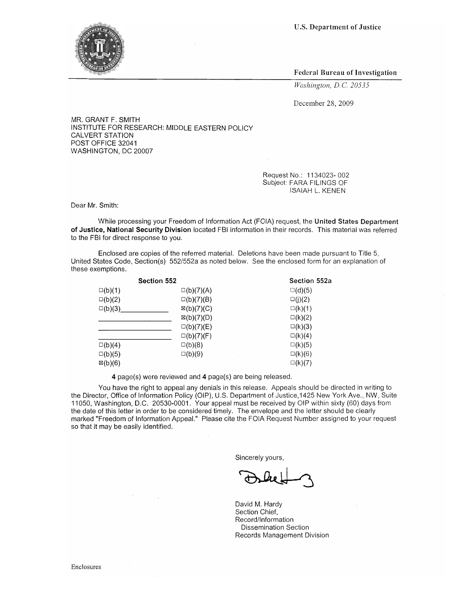U.S. Department of Justice



Federal Bureau of Investigation

*Washington, DC 20535* 

December 28, 2009

MR. GRANT F. SMITH INSTITUTE FOR RESEARCH: MIDDLE EASTERN POLICY CALVERT STATION POST OFFICE 32041 WASHINGTON, DC 20007

> Request No.: 1134023- 002 SUbject: FARA FILINGS OF ISAIAH L. KENEN

Dear Mr. Smith:

While processing your Freedom of Information Act (FOIA) request, the United States Department of Justice, National Security Division located FBI information in their records. This material was referred to the FBI for direct response to you.

Enclosed are copies of the referred material. Deletions have been made pursuant to Title 5, United States Code, Section(s) 552/552a as noted below. See the enclosed form for an explanation of these exemptions.

| Section 552        |                       | Section 552a     |
|--------------------|-----------------------|------------------|
| $\square(b)(1)$    | $\square(b)(7)(A)$    | $\square$ (d)(5) |
| $\square(b)(2)$    | $\square(b)(7)(B)$    | $\square(j)(2)$  |
| $\square(b)(3)$    | $\boxtimes$ (b)(7)(C) | $\square(k)(1)$  |
|                    | $\boxtimes$ (b)(7)(D) | $\square(k)(2)$  |
|                    | $\square(b)(7)(E)$    | $\square(k)(3)$  |
|                    | $\square(b)(7)(F)$    | $\square(k)(4)$  |
| $\square(b)(4)$    | $\square$ (b)(8)      | $\square$ (k)(5) |
| $\square(b)(5)$    | $\square(b)(9)$       | $\square(k)(6)$  |
| $\boxtimes$ (b)(6) |                       | $\square(k)(7)$  |

4 page(s) were reviewed and 4 page(s) are being released.

You have the right to appeal any denials in this release. Appeals should be directed in writing to the Director, Office of Information Policy (OIP), U.S. Department of Justice,1425 New York Ave., NW, Suite 11050, Washington, D.C. 20530-0001. Your appeal must be received by OIP within sixty (60) days from the date of this letter in order to be considered timely. The envelope and the letter should be clearly marked "Freedom of Information Appeal." Please cite the FOIA Request Number assigned to your request so that it may be easily identified.

Sincerely yours,

David M. Hardy Section Chief, Record/Information Dissemination Section Records Management Division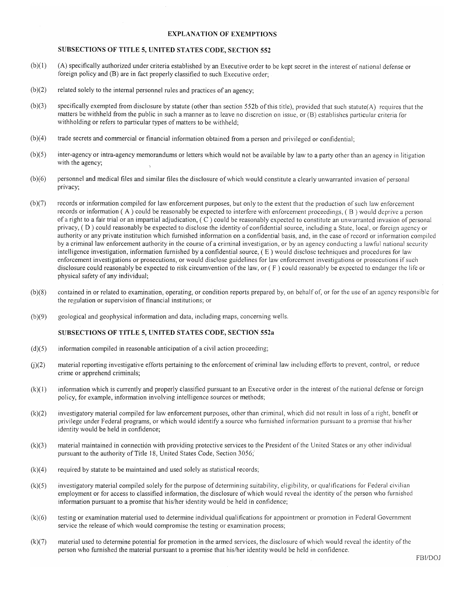### EXPLANATION OF EXEMPTIONS

### SUBSECTIONS OF TITLE 5, UNITED STATES CODE, SECTION 552

- $(b)(1)$  (A) specifically authorized under criteria established by an Executive order to be kept secret in the interest of national defense or foreign policy and (B) are in fact properly classified to such Executive order;
- (b)(2) related solely to the internal personnel rules and practices of an agency;
- (b)(3) specifically exempted from disclosure by statute (other than section 552b ofthis title), provided that such statute(A) requires that the matters be withheld from the public in such a manner as to leave no discretion on issue, or (B) establishes particular criteria for withholding or refers to particular types of matters to be withheld;
- (b)(4) trade secrets and commercial or financial information obtained from a person and privileged or confidential;
- (b)(5) inter-agency or intra-agency memorandums or letters which would not be available by law to a party other than an agency in litigation with the agency;
- (b)(6) personnel and medical files and similar files the disclosure of which would constitute a clearly unwarranted invasion of personal privacy;
- (b)(7) records or information compiled for law enforcement purposes, but only to the extent that the production of such law enforcement records or information  $(A)$  could be reasonably be expected to interfere with enforcement proceedings,  $(B)$  would deprive a person of a right to a fair trial or an impartial adjudication,  $(C)$  could be reasonably expected to constitute an unwarranted invasion of personal privacy, (D) could reasonably be expected to disclose the identity of confidential source, including a State, local, or forcign agency or authority or any private institution which furnished information on a confidential basis, and, in the case of record or information compiled by a criminal law enforcement authority in the course of a criminal investigation, or by an agency conducting a lawful national security intelligence investigation, information furnished by a confidential source, ( E) would disclose techniques and procedures for law enforcement investigations or prosecutions, or would disclose guidelines for law enforcement investigations or prosecutions if such disclosure could reasonably be expected to risk circumvention of the law, or ( F ) could reasonably be expected to endanger the Iife or physical safety of any individual;
- (b)(8) contained in or related to examination, operating, or condition reports prepared by, on behalf of, or for the use of an agency responsiblc for the regulation or supervision of financial institutions; or
- (b)(9) geological and geophysical information and data, including maps, concerning wells.

#### SUBSECTIONS OF TITLE 5, UNITED STATES CODE, SECTION 552a

- (d)(5) information compiled in reasonable anticipation of a civil action proceeding;
- m(2) material reporting investigative efforts pertaining to the enforcement of criminal law including efforts to prevent, control, or reduce crime or apprehend criminals;
- (k)(1 ) information which is currently and properly classified pursuant to an Executive order in the interest of the national defense or foreign policy, for example, information involving intelligence sources or methods;
- (k)(2) investigatory material compiled for law enforcement purposes, other than criminal, which did not result in loss of a right, benefit or privilege under Federal programs, or which would identify a source who furnished information pursuant to a promise that his/her identity would be held in confidence;
- (k)(3) material maintained in connection with providing protective services to the President of the United States or any other individual pursuant to the authority of Title 18, United States Code, Section 3056;'
- $(k)(4)$  required by statute to be maintained and used solely as statistical records;
- (k)(5) investigatory material compiled solely for the purpose of determining suitability, eligibility, or qualifications for Federal civilian employment or for access to classified information, the disclosure of which would reveal the identity of the person who furnished information pursuant to a promise that his/her identity would be held in confidence;
- (k)(6) testing or examination material used to determine individual qualifications for appointment or promotion in Federal Government service the release of which would compromise the testing or examination process;
- (k)(7) material used to determine potential for promotion in the armed services, the disclosure of which would reveal the identity of the person who furnished the material pursuant to a promise that his/her identity would be held in confidence.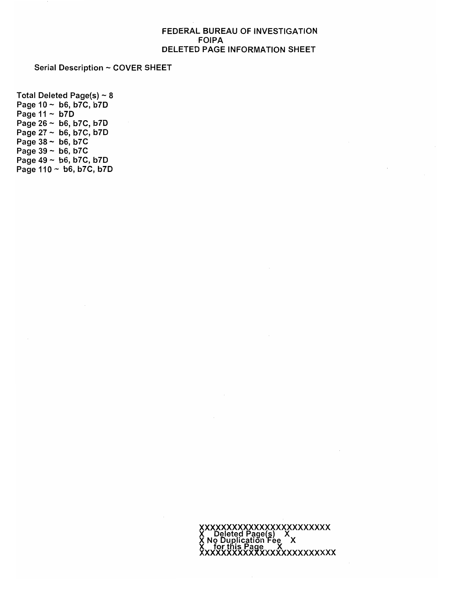## FEDERAL BUREAU OF INVESTIGATION FOIPA DELETED PAGE INFORMATION SHEET

Serial Description ~ COVER SHEET

Total Deleted Page(s)  $\sim$  8 Page  $10 \sim b6$ , b7C, b7D Page  $11 - b7D$ Page  $26 \sim b6$ , b7C, b7D Page 27 - b6, b7C, b7D Page  $38 \sim b6$ , b7C Page  $39 \sim b6$ , b7C Page  $49 \sim b6$ , b7C, b7D Page  $110 - b6$ , b7C, b7D

> XXXXXXXXXXXXXXXXXXXXX<br>X Deleted Page(s) X<br>X No Duplication Fee X for this Page X<br>XXXXXXXXXXXXXXXXXXXXXXXXX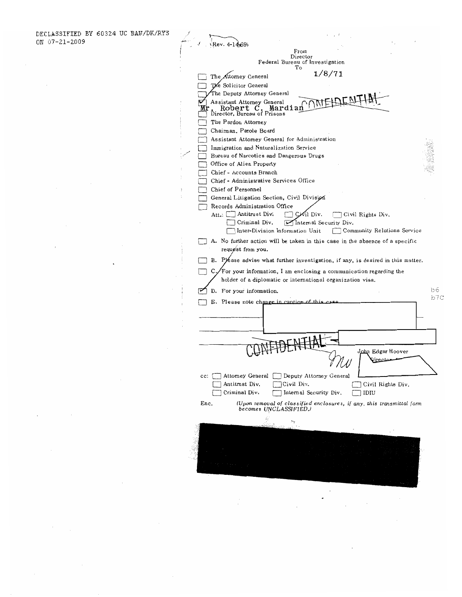$\cdot$ 

 $\sim$ 

 $\mathcal{A}$ 

 $\bar{z}$ 

 $\mathcal{L}$ 

 $\epsilon$ 

 $\overline{\phantom{a}}$ 

ł  $\ddot{\phantom{a}}$ 

| Rev. 4-14-69)                                                                                                  |     |
|----------------------------------------------------------------------------------------------------------------|-----|
| From                                                                                                           |     |
| Director<br>Federal Bureau of Investigation                                                                    |     |
| Тo<br>1/8/71                                                                                                   |     |
| The Attorney General                                                                                           |     |
| The Solicitor General                                                                                          |     |
| The Deputy Attorney General                                                                                    |     |
| Assistant Attorney General<br>Mardian<br>Robert                                                                |     |
| Director, Bureau of Prisons                                                                                    |     |
| The Pardon Attorney                                                                                            |     |
| Chaiman, Parole Board                                                                                          |     |
| Assistant Attorney General for Administration                                                                  |     |
| Immigration and Naturalization Service<br>Bureau of Narcotics and Dangerous Drugs                              |     |
| Office of Alien Property                                                                                       |     |
| Chief - Accounts Branch                                                                                        |     |
| Chief - Administrative Services Office                                                                         |     |
| Chief of Personnel                                                                                             |     |
| General Litigation Section, Civil Division                                                                     |     |
| Records Administration Office                                                                                  |     |
| Antitrust Div.<br>√il Div.<br>Att.: L<br>Сż<br>Civil Rights Div.                                               |     |
| Criminal Div.<br>Internal Security Div.                                                                        |     |
| Inter-Division Information Unit<br>Community Relations Service                                                 |     |
| A. No further action will be taken in this case in the absence of a specific                                   |     |
| request from you.                                                                                              |     |
| B. Please advise what further investigation, if any, is desired in this matter.                                |     |
| $C$ . For your information, I am enclosing a communication regarding the                                       |     |
| holder of a diplomatic or international organization visa.                                                     |     |
| D. For your information.                                                                                       | b6  |
| E. Please note change in cantion of this                                                                       | b7C |
|                                                                                                                |     |
|                                                                                                                |     |
|                                                                                                                |     |
|                                                                                                                |     |
| 进壮                                                                                                             |     |
| John Edgar Hoover                                                                                              |     |
|                                                                                                                |     |
|                                                                                                                |     |
| Attomey General<br>Deputy Attorney General<br>cc:                                                              |     |
| Antitrust Div.<br>Civil Div.<br>Civil Rights Div.                                                              |     |
| Criminal Div.<br>Internal Security Div.<br>IDIU                                                                |     |
| Enc.<br>(Upon removal of classified enclosures, if any, this transmittal form<br><i>becomes UNCLASSIFIED.)</i> |     |
|                                                                                                                |     |
| $\rightarrow$                                                                                                  |     |
|                                                                                                                |     |
|                                                                                                                |     |
|                                                                                                                |     |
|                                                                                                                |     |
|                                                                                                                |     |
|                                                                                                                |     |
|                                                                                                                |     |
|                                                                                                                |     |

 $\mathcal{L}^{\text{max}}_{\text{max}}$  and  $\mathcal{L}^{\text{max}}_{\text{max}}$  $\ddot{\phantom{a}}$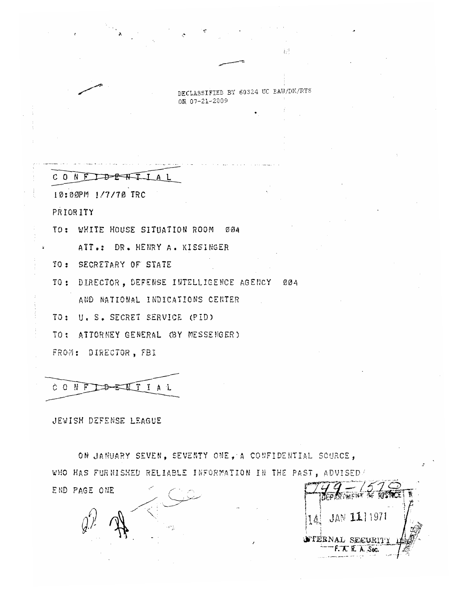DECLASSIFIED BY 60324 UC BAW/DK/RYS ON 07-21-2009

# CONFIDENTI

10:00PM 1/7/70 TRC

PRIORITY

TO: WHITE HOUSE SITUATION ROOM 004

ATT.: DR. HENRY A. KISSINGER

TO: SECRETARY OF STATE

TO: DIRECTOR, DEFENSE INTELLIGENCE AGENCY 004

AND NATIONAL INDICATIONS CENTER

TO: U. S. SECRET SERVICE (PID)

TO: ATTORNEY GENERAL (BY MESSENGER)

FROM: DIRECTOR, FBI

# CONFIDENTIAL

JEWISH DEFENSE LEAGUE

ON JANUARY SEVEN, SEVENTY ONE, A CONFIDENTIAL SOURCE, WHO HAS FURNISHED RELIABLE INFORMATION IN THE PAST, ADVISED/

END PAGE ONE

財 JAN 111971  $16<sup>1</sup>$ **NTERNAL SECURIT** F. T. R. A. Sec.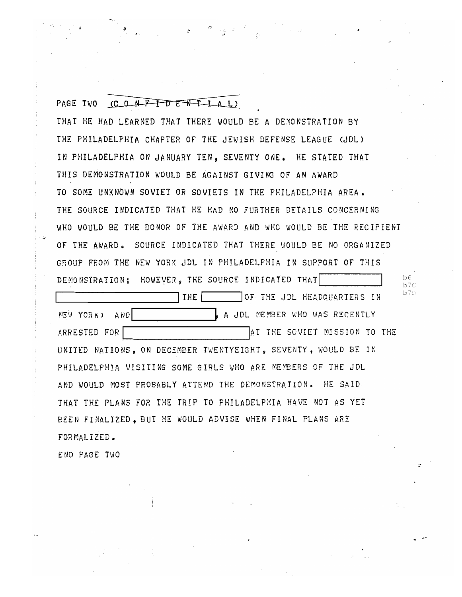PAGE TWO (CONFIDENTIAL) THAT HE HAD LEARNED THAT THERE WOULD BE A DEMONSTRATION BY THE PHILADELPHIA CHAPTER OF THE JEWISH DEFENSE LEAGUE (JDL) IN PHILADELPHIA ON JANUARY TEN, SEVENTY ONE. HE STATED THAT THIS DEMONSTRATION WOULD BE AGAINST GIVING OF AN AWARD TO SOME UNKNOWN SOVIET OR SOVIETS IN THE PHILADELPHIA AREA. THE SOURCE INDICATED THAT HE HAD NO FURTHER DETAILS CONCERNING WHO WOULD BE THE DONOR OF THE AWARD AND WHO WOULD BE THE RECIPIENT OF THE AWARD. SOURCE INDICATED THAT THERE WOULD BE NO ORGANIZED GROUP FROM THE NEW YORK JDL IN PHILADELPHIA IN SUPPORT OF THIS DEMONSTRATION; HOWEVER, THE SOURCE INDICATED THAT b7C THE OF THE JDL HEADQUARTERS IN  $^{b7D}$ ~lF.tV YORK) ANDI A JDL ~1E!'!BER ~)HO 'vlAS RECENTLY ARRESTED FOR INTERNATIONAL MISSION TO THE SOVIET MISSION TO THE UNITED NATIONS, ON DECEMBER TWENTYEIGHT, SEVENTY, WOULD BE IN PHILADELPHIA VISITING SOME GIRLS WHO ARE MEMBERS OF THE JDL AND WOHLD MOST PROBABLY ATTEND THE DEMONSTRATION. HE SAID THAT THE PLANS FOR THE TRIP TO PHILADELPHIA HAVE NOT AS YET BEEN FINALIZED, BUT HE WOULD ADVISE WHEN FINAL PLANS ARE FOR MAL 1ZED.

.:

END PAGE TWO

· 1.

 $, \cdot$  .